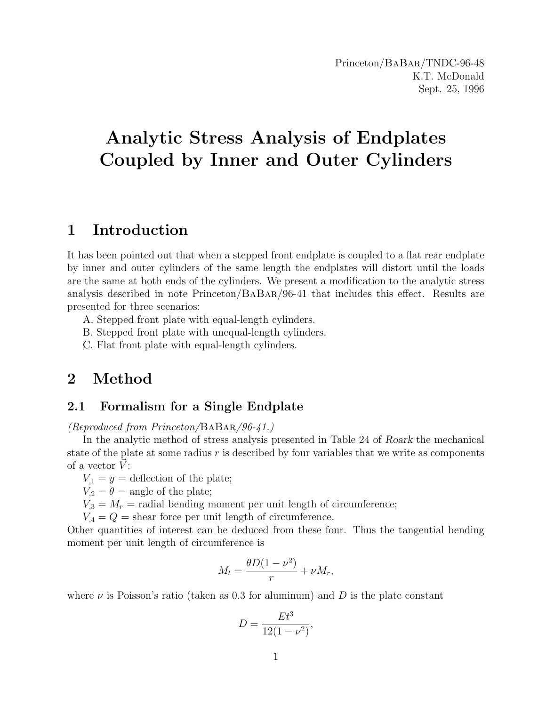# Analytic Stress Analysis of Endplates Coupled by Inner and Outer Cylinders

# 1 Introduction

It has been pointed out that when a stepped front endplate is coupled to a flat rear endplate by inner and outer cylinders of the same length the endplates will distort until the loads are the same at both ends of the cylinders. We present a modification to the analytic stress analysis described in note Princeton/BaBar/96-41 that includes this effect. Results are presented for three scenarios:

A. Stepped front plate with equal-length cylinders.

B. Stepped front plate with unequal-length cylinders.

C. Flat front plate with equal-length cylinders.

# 2 Method

# 2.1 Formalism for a Single Endplate

(Reproduced from Princeton/BaBar/96-41.)

In the analytic method of stress analysis presented in Table 24 of Roark the mechanical state of the plate at some radius  $r$  is described by four variables that we write as components of a vector  $\dot{V}$ :

 $V_1 = y =$  deflection of the plate;

 $V_2 = \theta$  = angle of the plate;

 $V_{,3} = M_r$  = radial bending moment per unit length of circumference;

 $V_4 = Q =$  shear force per unit length of circumference.

Other quantities of interest can be deduced from these four. Thus the tangential bending moment per unit length of circumference is

$$
M_t = \frac{\theta D(1 - \nu^2)}{r} + \nu M_r,
$$

where  $\nu$  is Poisson's ratio (taken as 0.3 for aluminum) and D is the plate constant

$$
D = \frac{Et^3}{12(1 - \nu^2)},
$$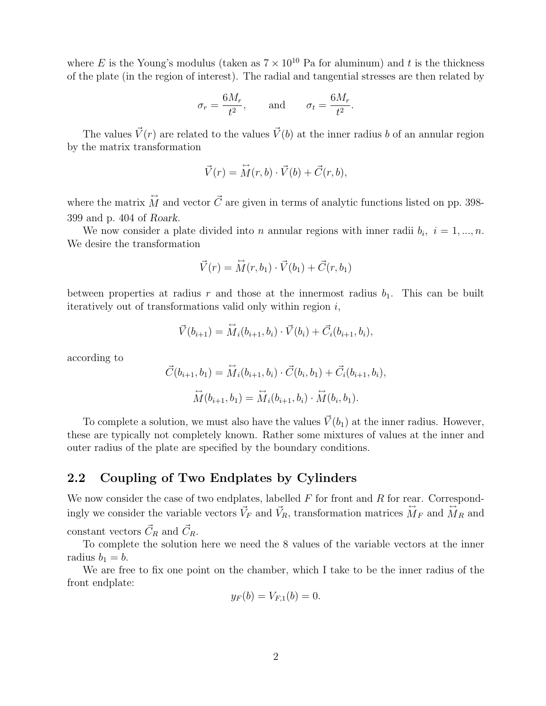where E is the Young's modulus (taken as  $7 \times 10^{10}$  Pa for aluminum) and t is the thickness of the plate (in the region of interest). The radial and tangential stresses are then related by

$$
\sigma_r = \frac{6M_r}{t^2}, \quad \text{and} \quad \sigma_t = \frac{6M_r}{t^2}.
$$

The values  $\vec{V}(r)$  are related to the values  $\vec{V}(b)$  at the inner radius b of an annular region by the matrix transformation

$$
\vec{V}(r) = \vec{M}(r, b) \cdot \vec{V}(b) + \vec{C}(r, b),
$$

where the matrix  $\hat{M}$  and vector  $\vec{C}$  are given in terms of analytic functions listed on pp. 398-399 and p. 404 of Roark.

We now consider a plate divided into *n* annular regions with inner radii  $b_i$ ,  $i = 1, ..., n$ . We desire the transformation

$$
\vec{V}(r) = \vec{M}(r, b_1) \cdot \vec{V}(b_1) + \vec{C}(r, b_1)
$$

between properties at radius r and those at the innermost radius  $b_1$ . This can be built iteratively out of transformations valid only within region  $i$ ,

$$
\vec{V}(b_{i+1}) = \vec{M}_i(b_{i+1}, b_i) \cdot \vec{V}(b_i) + \vec{C}_i(b_{i+1}, b_i),
$$

according to

$$
\vec{C}(b_{i+1}, b_1) = \vec{M}_i(b_{i+1}, b_i) \cdot \vec{C}(b_i, b_1) + \vec{C}_i(b_{i+1}, b_i),
$$

$$
\vec{M}(b_{i+1}, b_1) = \vec{M}_i(b_{i+1}, b_i) \cdot \vec{M}(b_i, b_1).
$$

To complete a solution, we must also have the values  $\vec{V}(b_1)$  at the inner radius. However, these are typically not completely known. Rather some mixtures of values at the inner and outer radius of the plate are specified by the boundary conditions.

#### 2.2 Coupling of Two Endplates by Cylinders

We now consider the case of two endplates, labelled  $F$  for front and  $R$  for rear. Correspondingly we consider the variable vectors  $\vec{V}_F$  and  $\vec{V}_R$ , transformation matrices  $\vec{M}_F$  and  $\vec{M}_R$  and constant vectors  $\vec{C}_R$  and  $\vec{C}_R$ .

To complete the solution here we need the 8 values of the variable vectors at the inner radius  $b_1 = b$ .

We are free to fix one point on the chamber, which I take to be the inner radius of the front endplate:

$$
y_F(b) = V_{F,1}(b) = 0.
$$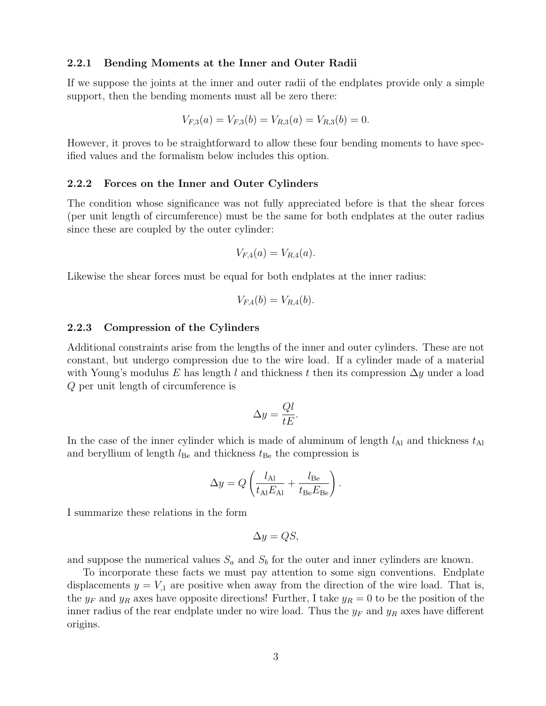#### 2.2.1 Bending Moments at the Inner and Outer Radii

If we suppose the joints at the inner and outer radii of the endplates provide only a simple support, then the bending moments must all be zero there:

$$
V_{F,3}(a) = V_{F,3}(b) = V_{R,3}(a) = V_{R,3}(b) = 0.
$$

However, it proves to be straightforward to allow these four bending moments to have specified values and the formalism below includes this option.

#### 2.2.2 Forces on the Inner and Outer Cylinders

The condition whose significance was not fully appreciated before is that the shear forces (per unit length of circumference) must be the same for both endplates at the outer radius since these are coupled by the outer cylinder:

$$
V_{F,4}(a) = V_{R,4}(a).
$$

Likewise the shear forces must be equal for both endplates at the inner radius:

$$
V_{F,4}(b) = V_{R,4}(b).
$$

#### 2.2.3 Compression of the Cylinders

Additional constraints arise from the lengths of the inner and outer cylinders. These are not constant, but undergo compression due to the wire load. If a cylinder made of a material with Young's modulus E has length l and thickness t then its compression  $\Delta y$  under a load Q per unit length of circumference is

$$
\Delta y = \frac{Ql}{tE}.
$$

In the case of the inner cylinder which is made of aluminum of length  $l_{\text{Al}}$  and thickness  $t_{\text{Al}}$ and beryllium of length  $l_{\text{Be}}$  and thickness  $t_{\text{Be}}$  the compression is

$$
\Delta y = Q \left( \frac{l_{\text{Al}}}{t_{\text{Al}} E_{\text{Al}}} + \frac{l_{\text{Be}}}{t_{\text{Be}} E_{\text{Be}}} \right).
$$

I summarize these relations in the form

$$
\Delta y = QS,
$$

and suppose the numerical values  $S_a$  and  $S_b$  for the outer and inner cylinders are known.

To incorporate these facts we must pay attention to some sign conventions. Endplate displacements  $y = V_{1}$  are positive when away from the direction of the wire load. That is, the  $y_F$  and  $y_R$  axes have opposite directions! Further, I take  $y_R = 0$  to be the position of the inner radius of the rear endplate under no wire load. Thus the  $y_F$  and  $y_R$  axes have different origins.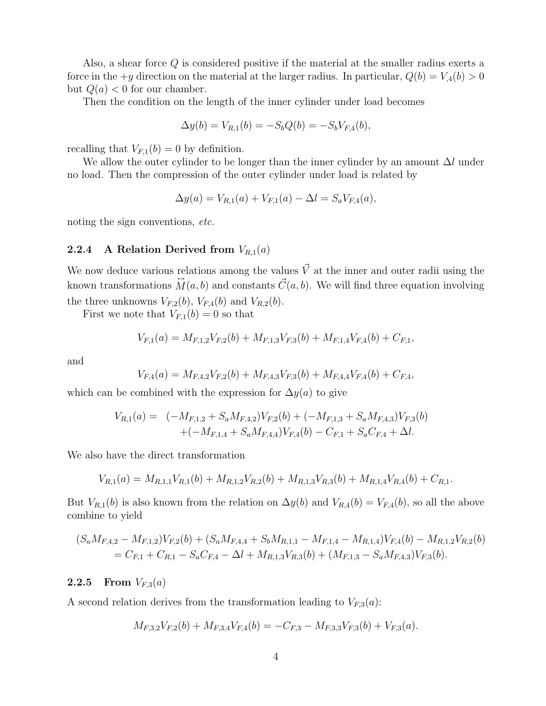Also, a shear force  $Q$  is considered positive if the material at the smaller radius exerts a force in the  $+y$  direction on the material at the larger radius. In particular,  $Q(b) = V_4(b) > 0$ but  $Q(a) < 0$  for our chamber.

Then the condition on the length of the inner cylinder under load becomes

$$
\Delta y(b) = V_{R,1}(b) = -S_b Q(b) = -S_b V_{F,4}(b),
$$

recalling that  $V_{F,1}(b) = 0$  by definition.

We allow the outer cylinder to be longer than the inner cylinder by an amount  $\Delta l$  under no load. Then the compression of the outer cylinder under load is related by

$$
\Delta y(a) = V_{R,1}(a) + V_{F,1}(a) - \Delta l = S_a V_{F,4}(a),
$$

noting the sign conventions, etc.

#### 2.2.4 A Relation Derived from  $V_{R,1}(a)$

We now deduce various relations among the values  $\vec{V}$  at the inner and outer radii using the known transformations  $\overleftrightarrow{M}(a, b)$  and constants  $\overrightarrow{C}(a, b)$ . We will find three equation involving the three unknowns  $V_{F,2}(b)$ ,  $V_{F,4}(b)$  and  $V_{R,2}(b)$ .

First we note that  $V_{F,1}(b) = 0$  so that

$$
V_{F,1}(a) = M_{F,1,2}V_{F,2}(b) + M_{F,1,3}V_{F,3}(b) + M_{F,1,4}V_{F,4}(b) + C_{F,1},
$$

and

$$
V_{F,4}(a) = M_{F,4,2}V_{F,2}(b) + M_{F,4,3}V_{F,3}(b) + M_{F,4,4}V_{F,4}(b) + C_{F,4},
$$

which can be combined with the expression for  $\Delta y(a)$  to give

$$
V_{R,1}(a) = (-M_{F,1,2} + S_a M_{F,4,2})V_{F,2}(b) + (-M_{F,1,3} + S_a M_{F,4,3})V_{F,3}(b) + (-M_{F,1,4} + S_a M_{F,4,4})V_{F,4}(b) - C_{F,1} + S_a C_{F,4} + \Delta l.
$$

We also have the direct transformation

$$
V_{R,1}(a) = M_{R,1,1}V_{R,1}(b) + M_{R,1,2}V_{R,2}(b) + M_{R,1,3}V_{R,3}(b) + M_{R,1,4}V_{R,4}(b) + C_{R,1}.
$$

But  $V_{R,1}(b)$  is also known from the relation on  $\Delta y(b)$  and  $V_{R,4}(b) = V_{F,4}(b)$ , so all the above combine to yield

$$
(S_a M_{F,4,2} - M_{F,1,2})V_{F,2}(b) + (S_a M_{F,4,4} + S_b M_{R,1,1} - M_{F,1,4} - M_{R,1,4})V_{F,4}(b) - M_{R,1,2}V_{R,2}(b)
$$
  
=  $C_{F,1} + C_{R,1} - S_a C_{F,4} - \Delta l + M_{R,1,3}V_{R,3}(b) + (M_{F,1,3} - S_a M_{F,4,3})V_{F,3}(b).$ 

#### **2.2.5** From  $V_{F,3}(a)$

A second relation derives from the transformation leading to  $V_{F,3}(a)$ :

$$
M_{F,3,2}V_{F,2}(b) + M_{F,3,4}V_{F,4}(b) = -C_{F,3} - M_{F,3,3}V_{F,3}(b) + V_{F,3}(a).
$$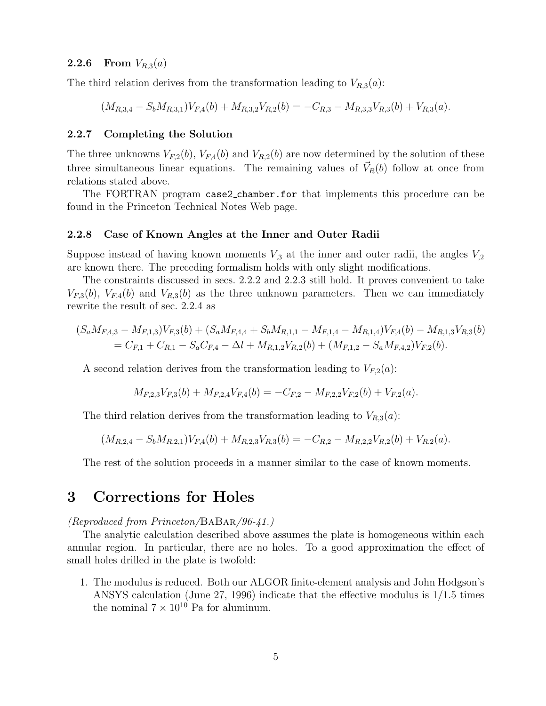#### **2.2.6** From  $V_{R,3}(a)$

The third relation derives from the transformation leading to  $V_{R,3}(a)$ :

 $(M_{R,3,4} - S_b M_{R,3,1}) V_{F,4}(b) + M_{R,3,2} V_{R,2}(b) = -C_{R,3} - M_{R,3,3} V_{R,3}(b) + V_{R,3}(a).$ 

#### 2.2.7 Completing the Solution

The three unknowns  $V_{F,2}(b)$ ,  $V_{F,4}(b)$  and  $V_{R,2}(b)$  are now determined by the solution of these three simultaneous linear equations. The remaining values of  $\vec{V}_R(b)$  follow at once from relations stated above.

The FORTRAN program case2 chamber.for that implements this procedure can be found in the Princeton Technical Notes Web page.

#### 2.2.8 Case of Known Angles at the Inner and Outer Radii

Suppose instead of having known moments  $V_{3}$  at the inner and outer radii, the angles  $V_{2}$ are known there. The preceding formalism holds with only slight modifications.

The constraints discussed in secs. 2.2.2 and 2.2.3 still hold. It proves convenient to take  $V_{F,3}(b)$ ,  $V_{F,4}(b)$  and  $V_{R,3}(b)$  as the three unknown parameters. Then we can immediately rewrite the result of sec. 2.2.4 as

$$
(S_a M_{F,4,3} - M_{F,1,3})V_{F,3}(b) + (S_a M_{F,4,4} + S_b M_{R,1,1} - M_{F,1,4} - M_{R,1,4})V_{F,4}(b) - M_{R,1,3}V_{R,3}(b)
$$
  
=  $C_{F,1} + C_{R,1} - S_a C_{F,4} - \Delta l + M_{R,1,2}V_{R,2}(b) + (M_{F,1,2} - S_a M_{F,4,2})V_{F,2}(b).$ 

A second relation derives from the transformation leading to  $V_{F,2}(a)$ :

$$
M_{F,2,3}V_{F,3}(b) + M_{F,2,4}V_{F,4}(b) = -C_{F,2} - M_{F,2,2}V_{F,2}(b) + V_{F,2}(a).
$$

The third relation derives from the transformation leading to  $V_{R,3}(a)$ :

$$
(M_{R,2,4} - S_b M_{R,2,1})V_{F,4}(b) + M_{R,2,3} V_{R,3}(b) = -C_{R,2} - M_{R,2,2} V_{R,2}(b) + V_{R,2}(a).
$$

The rest of the solution proceeds in a manner similar to the case of known moments.

## 3 Corrections for Holes

#### (Reproduced from Princeton/BaBar/96-41.)

The analytic calculation described above assumes the plate is homogeneous within each annular region. In particular, there are no holes. To a good approximation the effect of small holes drilled in the plate is twofold:

1. The modulus is reduced. Both our ALGOR finite-element analysis and John Hodgson's ANSYS calculation (June 27, 1996) indicate that the effective modulus is 1/1.5 times the nominal  $7 \times 10^{10}$  Pa for aluminum.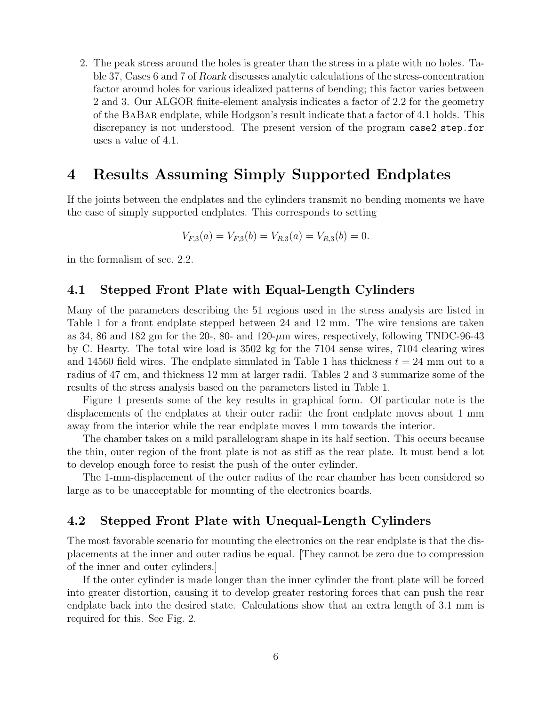2. The peak stress around the holes is greater than the stress in a plate with no holes. Table 37, Cases 6 and 7 of Roark discusses analytic calculations of the stress-concentration factor around holes for various idealized patterns of bending; this factor varies between 2 and 3. Our ALGOR finite-element analysis indicates a factor of 2.2 for the geometry of the BaBar endplate, while Hodgson's result indicate that a factor of 4.1 holds. This discrepancy is not understood. The present version of the program case2 step.for uses a value of 4.1.

# 4 Results Assuming Simply Supported Endplates

If the joints between the endplates and the cylinders transmit no bending moments we have the case of simply supported endplates. This corresponds to setting

$$
V_{F,3}(a) = V_{F,3}(b) = V_{R,3}(a) = V_{R,3}(b) = 0.
$$

in the formalism of sec. 2.2.

#### 4.1 Stepped Front Plate with Equal-Length Cylinders

Many of the parameters describing the 51 regions used in the stress analysis are listed in Table 1 for a front endplate stepped between 24 and 12 mm. The wire tensions are taken as 34, 86 and 182 gm for the 20-, 80- and  $120$ - $\mu$ m wires, respectively, following TNDC-96-43 by C. Hearty. The total wire load is 3502 kg for the 7104 sense wires, 7104 clearing wires and 14560 field wires. The endplate simulated in Table 1 has thickness  $t = 24$  mm out to a radius of 47 cm, and thickness 12 mm at larger radii. Tables 2 and 3 summarize some of the results of the stress analysis based on the parameters listed in Table 1.

Figure 1 presents some of the key results in graphical form. Of particular note is the displacements of the endplates at their outer radii: the front endplate moves about 1 mm away from the interior while the rear endplate moves 1 mm towards the interior.

The chamber takes on a mild parallelogram shape in its half section. This occurs because the thin, outer region of the front plate is not as stiff as the rear plate. It must bend a lot to develop enough force to resist the push of the outer cylinder.

The 1-mm-displacement of the outer radius of the rear chamber has been considered so large as to be unacceptable for mounting of the electronics boards.

### 4.2 Stepped Front Plate with Unequal-Length Cylinders

The most favorable scenario for mounting the electronics on the rear endplate is that the displacements at the inner and outer radius be equal. [They cannot be zero due to compression of the inner and outer cylinders.]

If the outer cylinder is made longer than the inner cylinder the front plate will be forced into greater distortion, causing it to develop greater restoring forces that can push the rear endplate back into the desired state. Calculations show that an extra length of 3.1 mm is required for this. See Fig. 2.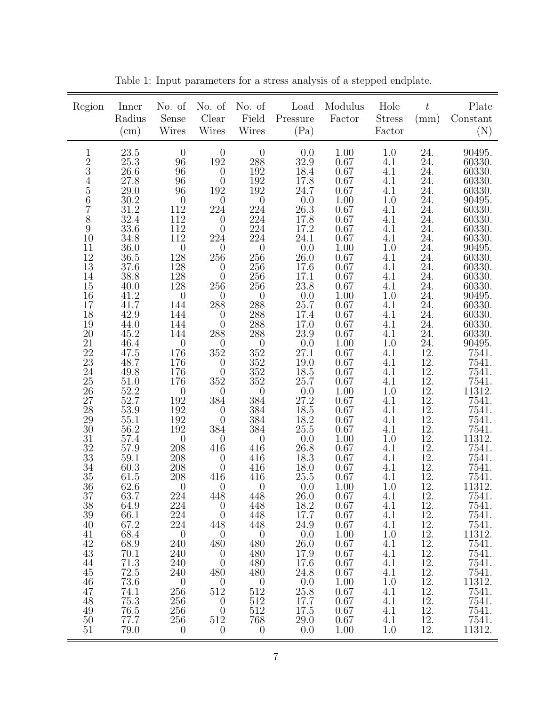| Region                                                                                                                                                                                                                                                                                                                                                                                         | Inner<br>Radius<br>(cm)                                                                                                                                                                                                                                                                                                                                                                                                                                                                                          | No. of<br>Sense<br>Wires                                                                                                                                                                                                                                                                                                                                                                                                                                                                                                                                                 | No. of<br>Clear<br><b>Wires</b>                                                                                                                                                                                                                                                                                                                                                                                                                                                                                                                                                                                                                                  | No. of<br>Field<br><b>Wires</b>                                                                                                                                                                                                                                                                                                                                                                                                                                                                                                                          | Load<br>Pressure<br>(Pa)                                                                                                                                                                                                                                                                                                                                                                                                                                                                             | Modulus<br>Factor                                                                                                                                                                                                                                                                                                                                                                                                                                               | Hole<br><b>Stress</b><br>Factor                                                                                                                                                                                                                                                                                                                                                                     | $t\,$<br>(mm)                                                                                                                                                                                                                                                                                                                                    | Plate<br>Constant<br>(N)                                                                                                                                                                                                                                                                                                                                                                                                                                                                                                                                                                               |
|------------------------------------------------------------------------------------------------------------------------------------------------------------------------------------------------------------------------------------------------------------------------------------------------------------------------------------------------------------------------------------------------|------------------------------------------------------------------------------------------------------------------------------------------------------------------------------------------------------------------------------------------------------------------------------------------------------------------------------------------------------------------------------------------------------------------------------------------------------------------------------------------------------------------|--------------------------------------------------------------------------------------------------------------------------------------------------------------------------------------------------------------------------------------------------------------------------------------------------------------------------------------------------------------------------------------------------------------------------------------------------------------------------------------------------------------------------------------------------------------------------|------------------------------------------------------------------------------------------------------------------------------------------------------------------------------------------------------------------------------------------------------------------------------------------------------------------------------------------------------------------------------------------------------------------------------------------------------------------------------------------------------------------------------------------------------------------------------------------------------------------------------------------------------------------|----------------------------------------------------------------------------------------------------------------------------------------------------------------------------------------------------------------------------------------------------------------------------------------------------------------------------------------------------------------------------------------------------------------------------------------------------------------------------------------------------------------------------------------------------------|------------------------------------------------------------------------------------------------------------------------------------------------------------------------------------------------------------------------------------------------------------------------------------------------------------------------------------------------------------------------------------------------------------------------------------------------------------------------------------------------------|-----------------------------------------------------------------------------------------------------------------------------------------------------------------------------------------------------------------------------------------------------------------------------------------------------------------------------------------------------------------------------------------------------------------------------------------------------------------|-----------------------------------------------------------------------------------------------------------------------------------------------------------------------------------------------------------------------------------------------------------------------------------------------------------------------------------------------------------------------------------------------------|--------------------------------------------------------------------------------------------------------------------------------------------------------------------------------------------------------------------------------------------------------------------------------------------------------------------------------------------------|--------------------------------------------------------------------------------------------------------------------------------------------------------------------------------------------------------------------------------------------------------------------------------------------------------------------------------------------------------------------------------------------------------------------------------------------------------------------------------------------------------------------------------------------------------------------------------------------------------|
| $\mathbf{1}$<br>23456789<br>10<br>$\begin{array}{c} 11 \\ 12 \end{array}$<br>$\begin{array}{c} 13 \\ 14 \\ 15 \\ 16 \\ 17 \end{array}$<br>$\frac{18}{19}$<br>$20\,$<br>$\frac{21}{22}$<br>$\frac{22}{23}$<br>24<br>$25\,$<br><b>26</b><br>27<br><b>28</b><br>$\substack{29\\30}$<br>$\frac{31}{32}$<br>$\frac{34}{35}$<br>36<br>37<br>38<br>39<br>40<br>41<br>42<br>43<br>44<br>45<br>46<br>47 | 23.5<br>$25.3\,$<br>26.6<br>27.8<br>29.0<br>$\frac{30.2}{31.2}$<br>32.4<br>$33.6\,$<br>34.8<br>$\begin{array}{c} 36.0 \\ 36.5 \end{array}$<br>37.6<br>$38.8\,$<br>$\begin{array}{c} 40.0 \\ 41.2 \end{array}$<br>41.7<br>42.9<br>44.0<br>45.2<br>46.4<br>47.5<br>48.7<br>49.8<br>$\begin{array}{c} 51.0 \\ 52.2 \end{array}$<br>52.7<br>53.9<br>55.1<br>$56.2\,$<br>57.4<br>57.9<br>59.1<br>60.3<br>61.5<br>62.6<br>63.7<br>64.9<br>66.1<br>67.2<br>68.4<br>68.9<br>$70.1\,$<br>71.3<br>$72.5\,$<br>73.6<br>74.1 | $\theta$<br>96<br>96<br>$\begin{array}{c} 96 \\ 96 \end{array}$<br>$\begin{array}{c} 0 \\ 112 \\ 112 \end{array}$<br>$112\,$<br>$112\,$<br>$\begin{array}{c} 0 \\ 128 \end{array}$<br>$\frac{128}{128}$<br>$128$<br>$\overline{0}$<br>144<br>144<br>144<br>144<br>$\begin{array}{c} 0 \\ 176 \end{array}$<br>176<br>$176\,$<br>$176\,$<br>$\boldsymbol{0}$<br>192<br>$\frac{192}{192}$<br>$\frac{192}{192}$<br>$\boldsymbol{0}$<br>208<br>208<br>208<br>208<br>$\theta$<br>224<br>$224\,$<br>224<br>224<br>$\theta$<br>240<br>240<br>240<br>240<br>$\overline{0}$<br>256 | $\begin{array}{c} 0 \\ 192 \end{array}$<br>$\boldsymbol{0}$<br>$\boldsymbol{0}$<br>$192\,$<br>$\theta$<br>224<br>$\begin{smallmatrix} 0\\0 \end{smallmatrix}$<br>224<br>$\boldsymbol{0}$<br>$256\,$<br>$\begin{smallmatrix} 0\\0 \end{smallmatrix}$<br>256<br>$\theta$<br>$\boldsymbol{288}$<br>$\theta$<br>$\overline{0}$<br>288<br>$\theta$<br>$352\,$<br>$\begin{matrix} 0 \\ 0 \end{matrix}$<br>352<br>$\theta$<br>384<br>$\boldsymbol{0}$<br>$\boldsymbol{0}$<br>$384\,$<br>$\theta$<br>416<br>$\theta$<br>$\theta$<br>$416\,$<br>$\theta$<br>448<br>$\theta$<br>$\overline{0}$<br>448<br>$\theta$<br>480<br>$\theta$<br>$\theta$<br>480<br>$\theta$<br>512 | $\boldsymbol{0}$<br>$\frac{288}{192}$<br>$\frac{192}{192}$<br>$\boldsymbol{0}$<br>$224\,$<br>$224\,$<br>224<br>224<br>$\begin{array}{c} 0 \\ 256 \end{array}$<br>$\frac{256}{256}$<br>$256\,$<br>$\begin{array}{c} 0 \\ 288 \end{array}$<br>$\frac{288}{288}$<br>$\begin{array}{c} 288 \\ 0 \\ 352 \\ 352 \\ 352 \\ 352 \\ \end{array}$<br>$\boldsymbol{0}$<br>$\frac{384}{384}$<br>$\frac{384}{384}$<br>$\boldsymbol{0}$<br>416<br>416<br>416<br>416<br>$\theta$<br>448<br>448<br>448<br>448<br>$\theta$<br>480<br>480<br>480<br>480<br>$\theta$<br>512 | 0.0<br>$\frac{32.9}{18.4}$<br>$17.8$<br>$24.7$<br>$0.0$<br>$26.3$<br>$17.8$<br>17.2<br>$24.1\,$<br>$\frac{0.0}{26.0}$<br>$\frac{17.6}{17.1}$<br>$23.8\,$<br>$\frac{0.0}{25.7}$<br>17.4<br>17.0<br>$\begin{array}{c} 23.9 \\ 0.0 \\ 27.1 \end{array}$<br>$19.0\,$<br>$18.5$<br>$25.7$<br>$0.0$<br>$27.2$<br>$18.5\,$<br>$\substack{18.2\\25.5}$<br>$\frac{0.0}{26.8}$<br>18.3<br>$\substack{18.0\\25.5}$<br>0.0<br>26.0<br>18.2<br>17.7<br>24.9<br>0.0<br>26.0<br>17.9<br>17.6<br>24.8<br>0.0<br>25.8 | 1.00<br>$\begin{array}{c} 0.67 \\ 0.67 \end{array}$<br>$0.67\,$<br>$0.67\,$<br>1.00<br>0.67<br>0.67<br>0.67<br>0.67<br>1.00<br>0.67<br>$0.67\,$<br>$0.67\,$<br>0.67<br>1.00<br>0.67<br>0.67<br>0.67<br>$0.67\,$<br>$1.00\,$<br>0.67<br>$0.67\,$<br>0.67<br>0.67<br>$1.00\,$<br>0.67<br>0.67<br>$0.67\,$<br>$0.67\,$<br>1.00<br>$0.67\,$<br>0.67<br>0.67<br>0.67<br>1.00<br>0.67<br>0.67<br>0.67<br>0.67<br>1.00<br>0.67<br>0.67<br>0.67<br>0.67<br>1.00<br>0.67 | 1.0<br>4.1<br>4.1<br>4.1<br>4.1<br>$1.0\,$<br>4.1<br>4.1<br>4.1<br>4.1<br>$1.0\,$<br>4.1<br>4.1<br>4.1<br>4.1<br>$1.0\,$<br>4.1<br>4.1<br>4.1<br>$\underset{1.0}{\overset{4.1}{\cdot}}$<br>4.1<br>4.1<br>4.1<br>4.1<br>$1.0\,$<br>4.1<br>4.1<br>$\underset{4.1}{^{4.1}}$<br>$1.0\,$<br>4.1<br>4.1<br>4.1<br>4.1<br>1.0<br>4.1<br>4.1<br>4.1<br>4.1<br>1.0<br>4.1<br>4.1<br>4.1<br>4.1<br>1.0<br>4.1 | 24.24.24.24.<br>$\begin{array}{c} 24. \\ 24. \\ 24. \\ 24. \end{array}$<br>24.<br>24.24.24.24.24.24.24.24.<br>24.24.24.12.12.12.<br>$\frac{12}{12}$ .<br>12.<br>12.<br>$\frac{12}{12}$ .<br>$\frac{12}{12}$ .<br>$12. \,$<br>12.<br>12.<br>$\frac{12}{12}$ .<br>12.<br>12.<br>12.<br>12.<br>12.<br>12.<br>12.<br>12.<br>12.<br>12.<br>12.<br>12. | 90495.<br>60330.<br>60330.<br>60330.<br>60330.<br>90495.<br>$60330.\,\,60330.$<br>60330.<br>60330.<br>$\begin{array}{c} 90495. \\ 60330. \end{array}$<br>60330.<br>60330.<br>60330.<br>$\begin{array}{c} 90495. \\ 60330. \end{array}$<br>60330.<br>60330.<br>60330.90495.<br>7541.<br>7541.<br>7541.<br>$\!\! \begin{array}{c} 7541. \\ 11312. \end{array}$<br>7541.<br>7541.<br>7541.<br>7541.<br>11312.<br>7541.<br>7541.<br>7541.<br>7541.<br>11312.<br>7541.<br>7541.<br>7541.<br>7541.<br>11312.<br>7541.<br>$\begin{array}{r} 7541. \\ 7541. \\ 7541. \\ 11312. \\ \hline \end{array}$<br>7541. |
| 48<br>49<br>50<br>51                                                                                                                                                                                                                                                                                                                                                                           | 75.3<br>76.5<br>77.7<br>79.0                                                                                                                                                                                                                                                                                                                                                                                                                                                                                     | 256<br>256<br>256<br>$\theta$                                                                                                                                                                                                                                                                                                                                                                                                                                                                                                                                            | $\theta$<br>$\theta$<br>512<br>$\theta$                                                                                                                                                                                                                                                                                                                                                                                                                                                                                                                                                                                                                          | 512<br>512<br>768<br>$\theta$                                                                                                                                                                                                                                                                                                                                                                                                                                                                                                                            | 17.7<br>17.5<br>29.0<br>0.0                                                                                                                                                                                                                                                                                                                                                                                                                                                                          | 0.67<br>0.67<br>0.67<br>1.00                                                                                                                                                                                                                                                                                                                                                                                                                                    | 4.1<br>4.1<br>4.1<br>1.0                                                                                                                                                                                                                                                                                                                                                                            | 12.<br>12.<br>12.<br>12.                                                                                                                                                                                                                                                                                                                         | 7541.7541.<br>7541.<br>11312.                                                                                                                                                                                                                                                                                                                                                                                                                                                                                                                                                                          |

Table 1: Input parameters for a stress analysis of a stepped endplate.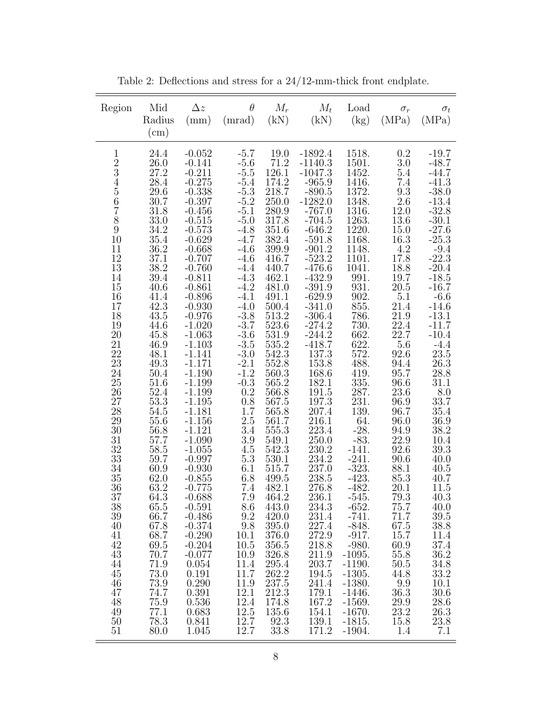| Region                                                                                                                                                                                                                                                                                                                                                       | Mid<br>Radius<br>(cm)                                                                                                                                                                                                                                                                                                                                                                                                            | $\Delta z$<br>(mm)                                                                                                                                                                                                                                                                                                                                                                                                                                                                                                                                                                                                 | $\theta$<br>(mrad)                                                                                                                                                                                                                                                                                                                                                                                                                                                      | $M_r$<br>(kN)                                                                                                                                                                                                                                                                                                                                                                                                                                                                                                                                                                | $M_t$<br>(kN)                                                                                                                                                                                                                                                                                                                                                                                                                                                                                                                                                                                    | Load<br>(kg)                                                                                                                                                                                                                                                                                                                                                                                                                                                                                                                                      | $\sigma_r$<br>(MPa)                                                                                                                                                                                                                                                                                                                                                                                                                                | $\sigma_t$<br>(MPa)                                                                                                                                                                                                                                                                                                                                                                                                                                                                                         |
|--------------------------------------------------------------------------------------------------------------------------------------------------------------------------------------------------------------------------------------------------------------------------------------------------------------------------------------------------------------|----------------------------------------------------------------------------------------------------------------------------------------------------------------------------------------------------------------------------------------------------------------------------------------------------------------------------------------------------------------------------------------------------------------------------------|--------------------------------------------------------------------------------------------------------------------------------------------------------------------------------------------------------------------------------------------------------------------------------------------------------------------------------------------------------------------------------------------------------------------------------------------------------------------------------------------------------------------------------------------------------------------------------------------------------------------|-------------------------------------------------------------------------------------------------------------------------------------------------------------------------------------------------------------------------------------------------------------------------------------------------------------------------------------------------------------------------------------------------------------------------------------------------------------------------|------------------------------------------------------------------------------------------------------------------------------------------------------------------------------------------------------------------------------------------------------------------------------------------------------------------------------------------------------------------------------------------------------------------------------------------------------------------------------------------------------------------------------------------------------------------------------|--------------------------------------------------------------------------------------------------------------------------------------------------------------------------------------------------------------------------------------------------------------------------------------------------------------------------------------------------------------------------------------------------------------------------------------------------------------------------------------------------------------------------------------------------------------------------------------------------|---------------------------------------------------------------------------------------------------------------------------------------------------------------------------------------------------------------------------------------------------------------------------------------------------------------------------------------------------------------------------------------------------------------------------------------------------------------------------------------------------------------------------------------------------|----------------------------------------------------------------------------------------------------------------------------------------------------------------------------------------------------------------------------------------------------------------------------------------------------------------------------------------------------------------------------------------------------------------------------------------------------|-------------------------------------------------------------------------------------------------------------------------------------------------------------------------------------------------------------------------------------------------------------------------------------------------------------------------------------------------------------------------------------------------------------------------------------------------------------------------------------------------------------|
| $\mathbf{1}$<br>$\frac{2}{3}$<br>$\frac{5}{6}$<br>$\begin{array}{c} 7 \\ 8 \\ 9 \end{array}$<br>10<br>11<br>12<br>13<br>14<br>15<br>16<br>17<br>18<br>19<br>$20\,$<br>21<br>22<br>23<br>24<br>25<br>26<br>27<br>28<br>29<br>30<br>31<br>32<br>33<br>34<br>35<br>36<br>37<br>38<br>39<br>40<br>41<br>42<br>43<br>44<br>45<br>46<br>47<br>48<br>49<br>50<br>51 | 24.4<br>$26.0\,$<br>27.2<br>28.4<br>29.6<br>30.7<br>31.8<br>33.0<br>34.2<br>35.4<br>36.2<br>37.1<br>38.2<br>$39.4\,$<br>40.6<br>41.4<br>42.3<br>43.5<br>44.6<br>45.8<br>46.9<br>48.1<br>49.3<br>50.4<br>51.6<br>52.4<br>$53.3\,$<br>54.5<br>55.6<br>56.8<br>57.7<br>58.5<br>59.7<br>60.9<br>62.0<br>63.2<br>64.3<br>65.5<br>66.7<br>67.8<br>68.7<br>69.5<br>70.7<br>71.9<br>73.0<br>73.9<br>74.7<br>75.9<br>77.1<br>78.3<br>80.0 | $-0.052$<br>$-0.141$<br>$-0.211$<br>$-0.275$<br>$-0.338$<br>$-0.397$<br>$-0.456$<br>$-0.515$<br>$-0.573$<br>$-0.629$<br>$-0.668$<br>$-0.707$<br>$-0.760$<br>$-0.811$<br>$-0.861$<br>$-0.896$<br>$-0.930$<br>$-0.976$<br>$-1.020$<br>$-1.063$<br>$-1.103$<br>$-1.141$<br>$-1.171$<br>$-1.190$<br>$-1.199$<br>$-1.199$<br>$-1.195$<br>$-1.181$<br>$-\bar{1}.156$<br>$-1.121$<br>$-1.090$<br>$-1.055$<br>$-0.997$<br>$-0.930$<br>$-0.855$<br>$-0.775$<br>$-0.688$<br>$-0.591$<br>$-0.486$<br>$-0.374$<br>$-0.290$<br>$-0.204$<br>$-0.077$<br>0.054<br>0.191<br>0.290<br>0.391<br>$0.536\,$<br>0.683<br>0.841<br>1.045 | $-5.7$<br>$-5.6$<br>$-5.5$<br>$-5.4$<br>$-5.3$<br>$-5.2$<br>$-5.1$<br>$-5.0$<br>$-4.8$<br>$-4.7$<br>$-4.6$<br>$-4.6$<br>$-4.4$<br>$-4.3$<br>$-4.2$<br>$-4.1$<br>$-4.0$<br>$-3.8$<br>$-3.7$<br>$-3.6$<br>$-3.5$<br>$-3.0$<br>$-2.1$<br>$-1.2$<br>$-0.3$<br>0.2<br>0.8<br>$1.7\,$<br>$2.5\,$<br>3.4<br>$3.9\,$<br>$4.5\,$<br>5.3<br>6.1<br>6.8<br>7.4<br>7.9<br>8.6<br>9.2<br>9.8<br>10.1<br>10.5<br>10.9<br>11.4<br>11.7<br>11.9<br>12.1<br>12.4<br>12.5<br>12.7<br>12.7 | 19.0<br>71.2<br>126.1<br>174.2<br>218.7<br>250.0<br>280.9<br>317.8<br>351.6<br>382.4<br>399.9<br>416.7<br>440.7<br>462.1<br>481.0<br>491.1<br>500.4<br>513.2<br>$\begin{array}{c} 523.6 \\ 531.9 \end{array}$<br>$535.2\,$<br>$542.3\,$<br>552.8<br>560.3<br>565.2<br>566.8<br>567.5<br>$\begin{array}{c} 565.8 \\ 561.7 \end{array}$<br>555.3<br>549.1<br>542.3<br>$\begin{array}{c} 530.1 \\ 515.7 \end{array}$<br>499.5<br>482.1<br>464.2<br>443.0<br>420.0<br>395.0<br>376.0<br>$356.5\,$<br>326.8<br>295.4<br>262.2<br>237.5<br>212.3<br>174.8<br>135.6<br>92.3<br>33.8 | $-1892.4$<br>$-1140.3$<br>$-1047.3$<br>$-965.9$<br>$-890.5$<br>-1282.0<br>$-767.0$<br>$-704.5$<br>$-646.2$<br>$-591.8$<br>$-901.2$<br>$-523.2$<br>$-476.6$<br>$-432.9$<br>$-391.9$<br>$-629.9$<br>$-341.0$<br>$-306.4$<br>$-274.2$<br>$-244.2$<br>$-418.7$<br>$137.3\,$<br>153.8<br>$\begin{array}{c} 168.6 \\ 182.1 \end{array}$<br>191.5<br>$197.3\,$<br>$207.4\,$<br>216.1<br>223.4<br>250.0<br>230.2<br>$\substack{234.2 \\ 237.0}$<br>238.5<br>276.8<br>236.1<br>234.3<br>231.4<br>227.4<br>272.9<br>218.8<br>211.9<br>203.7<br>194.5<br>241.4<br>179.1<br>167.2<br>154.1<br>139.1<br>171.2 | 1518.<br>1501.<br>1452.<br>1416.<br>1372.<br>1348.<br>1316.<br>1263.<br>1220.<br>1168.<br>1148.<br>1101.<br>1041.<br>991.<br>931.<br>902.<br>855.<br>786.<br>$\begin{array}{c} 730. \\ 662. \end{array}$<br>622.<br>572.<br>488.<br>$\frac{419}{335}$ .<br>287.<br>231.<br>139.<br>64.<br>$-28.$<br>$-83.$<br>$-141.$<br>$-241$ .<br>$-323$ .<br>$-423.$<br>$-482.$<br>$-545.$<br>$-652.$<br>$-741.$<br>$-848.$<br>$-917.$<br>$-980.$<br>$-1095.$<br>$-1190.$<br>$-1305.$<br>$-1380.$<br>$-1446.$<br>$-1569.$<br>$-1670.$<br>$-1815.$<br>$-1904.$ | 0.2<br>3.0<br>5.4<br>7.4<br>$\frac{9.3}{2.6}$<br>12.0<br>13.6<br>15.0<br>16.3<br>$4.\overline{2}$<br>17.8<br>18.8<br>19.7<br>$20.5\,$<br>5.1<br>21.4<br>$21.9\,$<br>$\overset{22.4}{_{22.7}}$<br>5.6<br>92.6<br>94.4<br>95.7<br>96.6<br>23.6<br>96.9<br>96.7<br>96.0<br>94.9<br>22.9<br>92.6<br>90.6<br>88.1<br>85.3<br>20.1<br>79.3<br>75.7<br>71.7<br>67.5<br>15.7<br>60.9<br>55.8<br>50.5<br>44.8<br>9.9<br>36.3<br>29.9<br>23.2<br>15.8<br>1.4 | $-19.7$<br>$-48.7$<br>$-44.7$<br>$-41.3$<br>$-38.0$<br>$-13.4$<br>$-32.8$<br>$-30.1$<br>$-27.6$<br>$-25.3$<br>$-9.4$<br>$-22.3$<br>$-20.4$<br>$-18.5$<br>$-16.7$<br>$-6.6$<br>$-14.6$<br>$\textbf{-13.1}$<br>$-11.7$<br>$-10.4$<br>$-4.4$<br>$23.5\,$<br>26.3<br>28.8<br>31.1<br>8.0<br>33.7<br>$35.4\,$<br>$36.9\,$<br>38.2<br>$10.4\,$<br>$39.3\,$<br>40.0<br>40.5<br>40.7<br>11.5<br>40.3<br>40.0<br>39.5<br>38.8<br>11.4<br>37.4<br>36.2<br>34.8<br>33.2<br>10.1<br>30.6<br>28.6<br>26.3<br>23.8<br>7.1 |

Table 2: Deflections and stress for a  $24/12\mbox{-mm-thick}$  front endplate.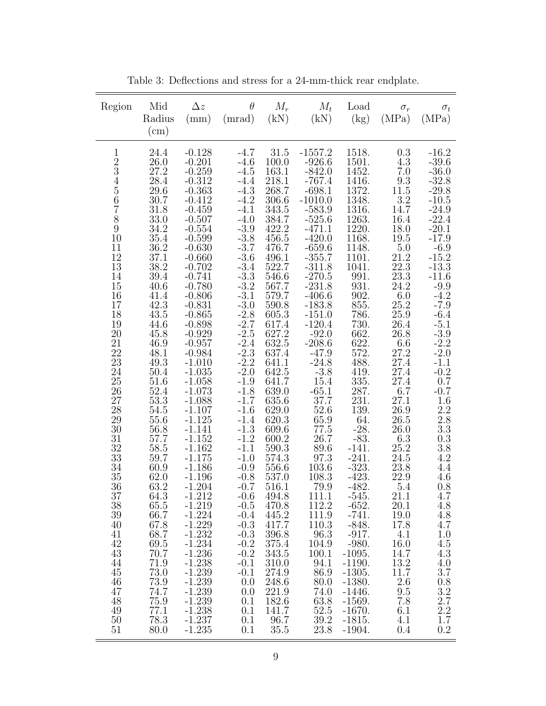| 24.4<br>$-0.128$<br>$-4.7$<br>31.5<br>$-1557.2$<br>1518.<br>0.3<br>$\mathbf{1}$<br>$\frac{2}{3}$<br>26.0<br>$-0.201$<br>$-926.6$<br>1501.<br>4.3<br>$-4.6$<br>100.0<br>$-842.0$<br>$7.0\,$<br>27.2<br>$-0.259$<br>$-4.5$<br>163.1<br>1452.<br>$\frac{9.3}{11.5}$<br>$\frac{3.2}{11.5}$<br>$\overline{4}$<br>28.4<br>$-0.312$<br>218.1<br>$-767.4$<br>1416.<br>$-4.4$<br>$\begin{array}{c} 5 \\ 6 \end{array}$<br>$268.7\,$<br>$-4.3$<br>1372.<br>29.6<br>$-0.363$<br>$-698.1$<br>30.7<br>$-0.412$<br>$-4.2$<br>$-1010.0$<br>1348.<br>306.6<br>$-583.9$<br>14.7<br>343.5<br>1316.<br>31.8<br>$-0.459$<br>$-4.1$                                                                                                                                                                                                                                                                                                                                                                                                                                                                                                                                                                                                                                                                                                                                                                                                                                                                                                                                                                                                                                                                                                                                                                                                                                                                                                                                                                                                                                                                                                                                                                                                                                                                                                                                                                                                                                                                                                                                                                                                                                                                                                                                                                                                                                                                                                                                                                                                                                                                                                                                                                                                                                                                                                                                                                                                                                                               |                                            | Mid<br>Region<br>Radius<br>$\rm(cm)$ | $\Delta z$<br>(mm) | $\theta$<br>(mrad) | $M_r$<br>(kN) | $M_t$<br>(kN) | Load<br>$\rm(kg)$ | $\sigma_r$<br>(MPa) | $\sigma_t$<br>(MPa)                                                                                                                                                                                                                                                                                                                                                                                                                                                                                                 |
|------------------------------------------------------------------------------------------------------------------------------------------------------------------------------------------------------------------------------------------------------------------------------------------------------------------------------------------------------------------------------------------------------------------------------------------------------------------------------------------------------------------------------------------------------------------------------------------------------------------------------------------------------------------------------------------------------------------------------------------------------------------------------------------------------------------------------------------------------------------------------------------------------------------------------------------------------------------------------------------------------------------------------------------------------------------------------------------------------------------------------------------------------------------------------------------------------------------------------------------------------------------------------------------------------------------------------------------------------------------------------------------------------------------------------------------------------------------------------------------------------------------------------------------------------------------------------------------------------------------------------------------------------------------------------------------------------------------------------------------------------------------------------------------------------------------------------------------------------------------------------------------------------------------------------------------------------------------------------------------------------------------------------------------------------------------------------------------------------------------------------------------------------------------------------------------------------------------------------------------------------------------------------------------------------------------------------------------------------------------------------------------------------------------------------------------------------------------------------------------------------------------------------------------------------------------------------------------------------------------------------------------------------------------------------------------------------------------------------------------------------------------------------------------------------------------------------------------------------------------------------------------------------------------------------------------------------------------------------------------------------------------------------------------------------------------------------------------------------------------------------------------------------------------------------------------------------------------------------------------------------------------------------------------------------------------------------------------------------------------------------------------------------------------------------------------------------------------------------|--------------------------------------------|--------------------------------------|--------------------|--------------------|---------------|---------------|-------------------|---------------------|---------------------------------------------------------------------------------------------------------------------------------------------------------------------------------------------------------------------------------------------------------------------------------------------------------------------------------------------------------------------------------------------------------------------------------------------------------------------------------------------------------------------|
| $-3.9$<br>$18.0\,$<br>34.2<br>422.2<br>$-471.1$<br>1220.<br>$-0.554$<br>$-3.\overline{8}$<br>$-3.7$<br>$10\,$<br>$19.5$<br>$5.0$<br>$21.2$<br>$22.3$<br>$23.3$<br>$35.4\,$<br>456.5<br>$-420.0$<br>$-659.6$<br>$-355.7$<br>1168.<br>$-0.599$<br>1148.<br>36.2<br>$-0.630$<br>$\begin{array}{c} 11 \\ 12 \end{array}$<br>476.7<br>$-3.6$<br>37.1<br>496.1<br>1101.<br>$-0.660$<br>$-3.4$<br>$-3.3$<br>$-3.2$<br>$-3.1$<br>$13\,$<br>38.2<br>1041.<br>522.7<br>$-311.8$<br>$-0.702$<br>$14\,$<br>$-270.5$<br>$991.$<br>$39.4\,$<br>$-0.741$<br>546.6<br>24.2<br>15<br>$-231.8$<br>931.<br>40.6<br>$-0.780$<br>567.7<br>902.<br>$-406.6$<br>$6.0\,$<br>16<br>41.4<br>$-0.806$<br>579.7<br>42.3<br>$-3.0$<br>855.<br>25.2<br>17<br>$-0.831$<br>$590.8\,$<br>$-183.8$<br>25.9<br>$-2.8$<br>786.<br>18<br>43.5<br>$-151.0$<br>$-0.865$<br>605.3<br>$-2.7$<br>$-2.5$<br>$-2.4$<br>19<br>$-120.4$<br>730.662.622.572.<br>$26.4\,$<br>44.6<br>$-0.898$<br>$\begin{array}{c} 617.4 \\ 627.2 \end{array}$<br>$-0.929$<br>$\substack{\text{-}92.0 \\ \text{-}208.6}$<br>$26.8\,$<br>$20\,$<br>45.8<br>632.5<br>$21\,$<br>$-0.957$<br>46.9<br>6.6<br>$-2.3$<br>22<br>27.2<br>48.1<br>$-0.984$<br>637.4<br>$-47.9$<br>$-2.2$<br>$-24.8$<br>23<br>488.<br>$27.4\,$<br>49.3<br>$-1.010$<br>641.1<br>$24\,$<br>$-2.0$<br>27.4<br>$50.4\,$<br>$-3.8$<br>$\frac{419}{335}$ .<br>287.<br>$-1.035$<br>642.5<br>15.4<br>27.4<br>25<br>51.6<br>$-1.058$<br>$-1.9$<br>641.7<br>52.4<br>$-65.1$<br>639.0<br>26<br>$-1.073$<br>$-1.8$<br>6.7<br>$231. \,$<br>53.3<br>27<br>37.7<br>$-1.088$<br>$-1.7$<br>635.6<br>27.1<br>$139. \,$<br>28<br>$26.9\,$<br>54.5<br>$-1.107$<br>629.0<br>52.6<br>$-1.6$<br>29<br>64.<br>$26.5\,$<br>$-1.125$<br>620.3<br>$\begin{array}{c} 65.9 \\ 77.5 \end{array}$<br>55.6<br>$-1.4$<br>$-28.$<br>$-1.3$<br>$-1.141$<br>30<br>56.8<br>26.0<br>609.6<br>$31\,$<br>57.7<br>26.7<br>$-83.$<br>$-1.152$<br>$-1.2$<br>600.2<br>6.3<br>$\frac{32}{33}$<br>$-141.$<br>$25.2\,$<br>$58.5\,$<br>$\textbf{-1.162}$<br>$-1.1$<br>590.3<br>89.6<br>$-241.$<br>$24.5\,$<br>$97.3\,$<br>$59.7\,$<br>$-1.175$<br>$-1.0$<br>574.3<br>$-323.$<br>$-423.$<br>$\frac{23.8}{22.9}$<br>34<br>103.6<br>60.9<br>$-1.186$<br>$-0.9$<br>556.6<br>62.0<br>108.3<br>35<br>$-1.196$<br>$-0.8$<br>537.0<br>63.2<br>$-1.204$<br>79.9<br>5.4<br>36<br>$-0.7$<br>516.1<br>$-482.$<br>$-545.$<br>21.1<br>494.8<br>37<br>64.3<br>-1.212<br>$-0.6$<br>111.1<br>38<br>$-1.219$<br>112.2<br>20.1<br>65.5<br>$-0.5$<br>470.8<br>$-652.$<br>39<br>$-1.224$<br>445.2<br>111.9<br>$-741.$<br>66.7<br>19.0<br>$-0.4$<br>$-1.229$<br>417.7<br>110.3<br>40<br>67.8<br>$-0.3$<br>$-848.$<br>17.8<br>68.7<br>$-1.232$<br>$-917.$<br>4.1<br>41<br>$-0.3$<br>396.8<br>96.3<br>42<br>$-1.234$<br>$-0.2$<br>$-980.$<br>69.5<br>375.4<br>104.9<br>16.0<br>43<br>$-1.236$<br>14.7<br>70.7<br>$-0.2$<br>343.5<br>100.1<br>$-1095.$<br>$13.2\,$<br>$-1.238$<br>44<br>71.9<br>$-0.1$<br>310.0<br>94.1<br>$-1190.$<br>73.0<br>$11.7\,$<br>$-1.239$<br>45<br>$-0.1$<br>274.9<br>86.9<br>$-1305.$<br>$2.6\,$<br>$-1.239$<br>73.9<br>248.6<br>$-1380.$<br>46<br>0.0<br>80.0<br>47<br>74.7<br>$-1.239$<br>221.9<br>74.0<br>9.5<br>0.0<br>$-1446.$<br>$-1.239$<br>182.6<br>48<br>63.8<br>7.8<br>75.9<br>0.1<br>$-1569.$<br>52.5<br>$-1.238$<br>49<br>77.1<br>0.1<br>141.7<br>$-1670.$<br>6.1<br>50<br>78.3<br>$-1.237$<br>0.1<br>96.7<br>39.2<br>$-1815.$<br>4.1<br>51<br>23.8<br>80.0<br>$-1.235$<br>0.1<br>35.5<br>$-1904.$<br>0.4 | $\begin{array}{c} 7 \\ 8 \\ 9 \end{array}$ | 33.0                                 | $-0.507$           | $-4.0$             | 384.7         | $-525.6$      | 1263.             | 16.4                | $-16.2$<br>$-39.6$<br>$-36.0$<br>$-32.8$<br>$-29.8$<br>$-10.5$<br>$-24.9$<br>$-22.4$<br>$-20.1$<br>$-17.9$<br>$-6.9$<br>$-15.2$<br>$-13.3$<br>$-11.6$<br>$-9.9$<br>$-4.2$<br>$-7.9$<br>$-6.4$<br>$-5.1$<br>$-3.9$<br>$-2.2$<br>$-2.0$<br>$-1.1$<br>$-0.2$<br>0.7<br>$-0.7$<br>1.6<br>$\frac{2.2}{2.8}$<br>3.3<br>$0.3\,$<br>$3.8\,$<br>$4.2\,$<br>$4.4\,$<br>4.6<br>0.8<br>4.7<br>4.8<br>4.8<br>4.7<br>1.0<br>4.5<br>4.3<br>4.0<br>3.7<br>0.8<br>$\begin{array}{c} 3.2 \\ 2.7 \end{array}$<br>$2.2\,$<br>1.7<br>0.2 |

Table 3: Deflections and stress for a 24-mm-thick rear endplate.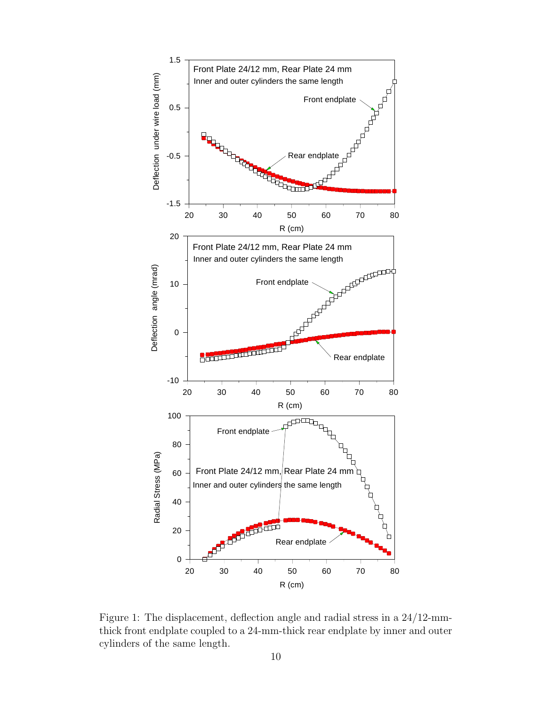

Figure 1: The displacement, deflection angle and radial stress in a 24/12-mmthick front endplate coupled to a 24-mm-thick rear endplate by inner and outer cylinders of the same length.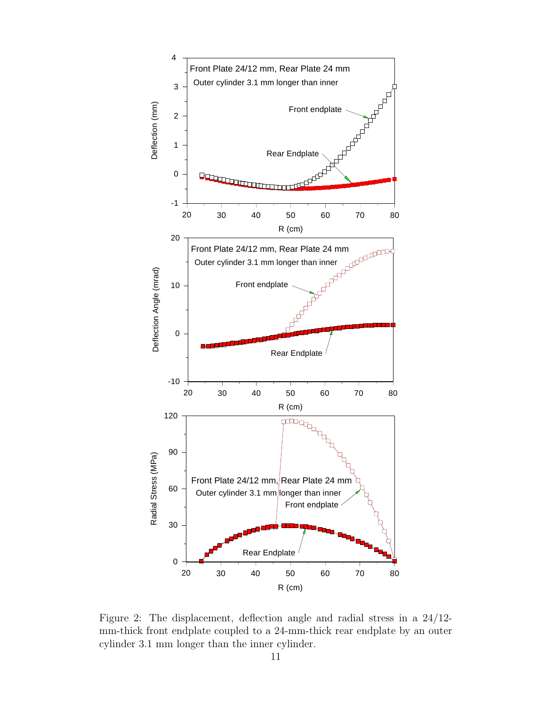

Figure 2: The displacement, deflection angle and radial stress in a 24/12 mm-thick front endplate coupled to a 24-mm-thick rear endplate by an outer cylinder 3.1 mm longer than the inner cylinder.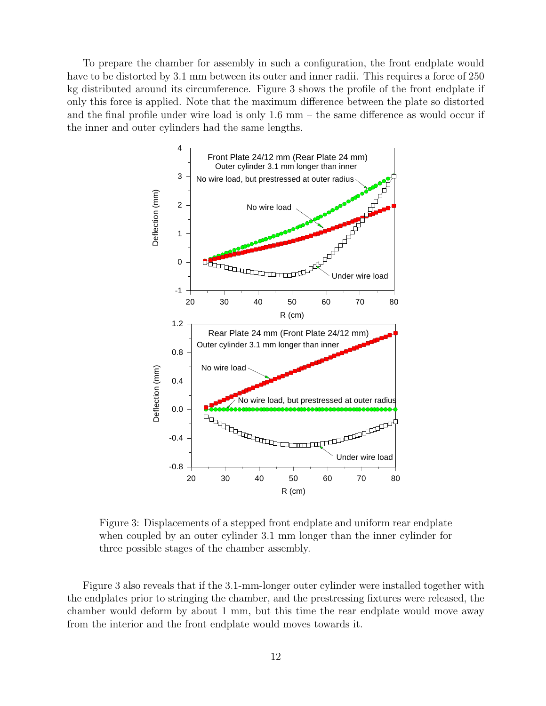To prepare the chamber for assembly in such a configuration, the front endplate would have to be distorted by 3.1 mm between its outer and inner radii. This requires a force of 250 kg distributed around its circumference. Figure 3 shows the profile of the front endplate if only this force is applied. Note that the maximum difference between the plate so distorted and the final profile under wire load is only 1.6 mm – the same difference as would occur if the inner and outer cylinders had the same lengths.



Figure 3: Displacements of a stepped front endplate and uniform rear endplate when coupled by an outer cylinder 3.1 mm longer than the inner cylinder for three possible stages of the chamber assembly.

Figure 3 also reveals that if the 3.1-mm-longer outer cylinder were installed together with the endplates prior to stringing the chamber, and the prestressing fixtures were released, the chamber would deform by about 1 mm, but this time the rear endplate would move away from the interior and the front endplate would moves towards it.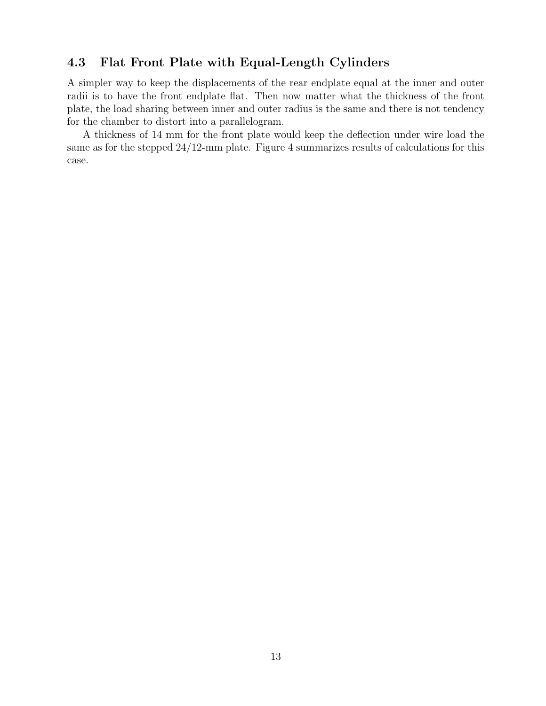## 4.3 Flat Front Plate with Equal-Length Cylinders

A simpler way to keep the displacements of the rear endplate equal at the inner and outer radii is to have the front endplate flat. Then now matter what the thickness of the front plate, the load sharing between inner and outer radius is the same and there is not tendency for the chamber to distort into a parallelogram.

A thickness of 14 mm for the front plate would keep the deflection under wire load the same as for the stepped 24/12-mm plate. Figure 4 summarizes results of calculations for this case.